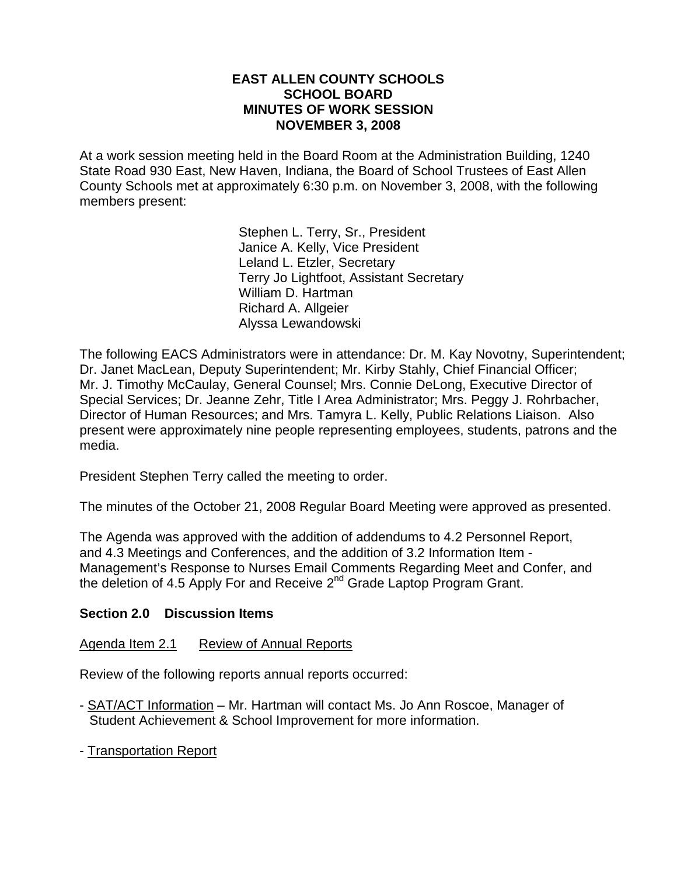#### **EAST ALLEN COUNTY SCHOOLS SCHOOL BOARD MINUTES OF WORK SESSION NOVEMBER 3, 2008**

At a work session meeting held in the Board Room at the Administration Building, 1240 State Road 930 East, New Haven, Indiana, the Board of School Trustees of East Allen County Schools met at approximately 6:30 p.m. on November 3, 2008, with the following members present:

> Stephen L. Terry, Sr., President Janice A. Kelly, Vice President Leland L. Etzler, Secretary Terry Jo Lightfoot, Assistant Secretary William D. Hartman Richard A. Allgeier Alyssa Lewandowski

The following EACS Administrators were in attendance: Dr. M. Kay Novotny, Superintendent; Dr. Janet MacLean, Deputy Superintendent; Mr. Kirby Stahly, Chief Financial Officer; Mr. J. Timothy McCaulay, General Counsel; Mrs. Connie DeLong, Executive Director of Special Services; Dr. Jeanne Zehr, Title I Area Administrator; Mrs. Peggy J. Rohrbacher, Director of Human Resources; and Mrs. Tamyra L. Kelly, Public Relations Liaison. Also present were approximately nine people representing employees, students, patrons and the media.

President Stephen Terry called the meeting to order.

The minutes of the October 21, 2008 Regular Board Meeting were approved as presented.

The Agenda was approved with the addition of addendums to 4.2 Personnel Report, and 4.3 Meetings and Conferences, and the addition of 3.2 Information Item - Management's Response to Nurses Email Comments Regarding Meet and Confer, and the deletion of 4.5 Apply For and Receive  $2^{nd}$  Grade Laptop Program Grant.

#### **Section 2.0 Discussion Items**

#### Agenda Item 2.1 Review of Annual Reports

Review of the following reports annual reports occurred:

- SAT/ACT Information Mr. Hartman will contact Ms. Jo Ann Roscoe, Manager of Student Achievement & School Improvement for more information.
- Transportation Report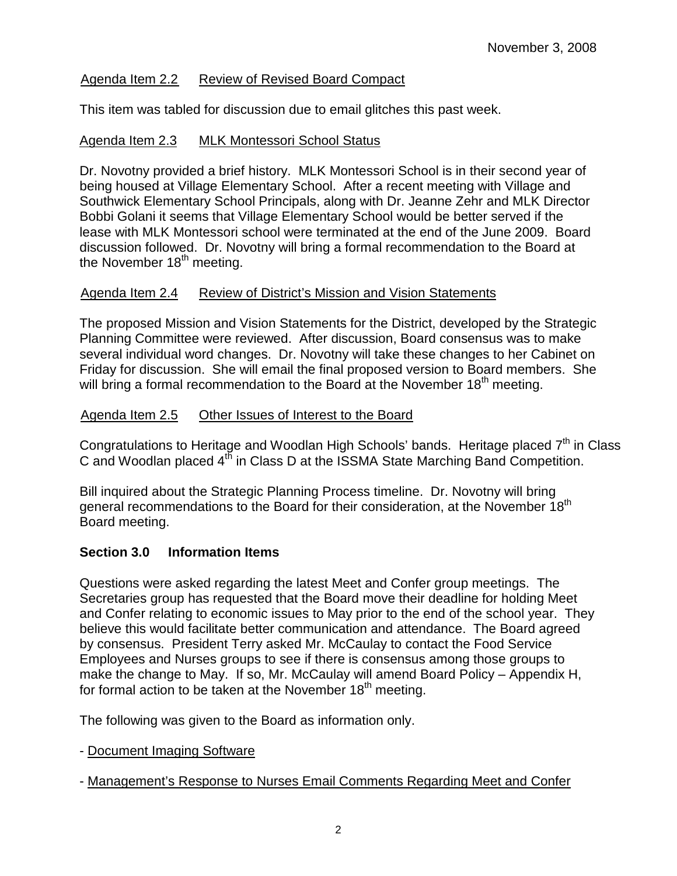### Agenda Item 2.2 Review of Revised Board Compact

This item was tabled for discussion due to email glitches this past week.

### Agenda Item 2.3 MLK Montessori School Status

Dr. Novotny provided a brief history. MLK Montessori School is in their second year of being housed at Village Elementary School. After a recent meeting with Village and Southwick Elementary School Principals, along with Dr. Jeanne Zehr and MLK Director Bobbi Golani it seems that Village Elementary School would be better served if the lease with MLK Montessori school were terminated at the end of the June 2009. Board discussion followed. Dr. Novotny will bring a formal recommendation to the Board at the November  $18<sup>th</sup>$  meeting.

#### Agenda Item 2.4 Review of District's Mission and Vision Statements

The proposed Mission and Vision Statements for the District, developed by the Strategic Planning Committee were reviewed. After discussion, Board consensus was to make several individual word changes. Dr. Novotny will take these changes to her Cabinet on Friday for discussion. She will email the final proposed version to Board members. She will bring a formal recommendation to the Board at the November  $18<sup>th</sup>$  meeting.

#### Agenda Item 2.5 Other Issues of Interest to the Board

Congratulations to Heritage and Woodlan High Schools' bands. Heritage placed  $7<sup>th</sup>$  in Class C and Woodlan placed  $4<sup>th</sup>$  in Class D at the ISSMA State Marching Band Competition.

Bill inquired about the Strategic Planning Process timeline. Dr. Novotny will bring general recommendations to the Board for their consideration, at the November 18<sup>th</sup> Board meeting.

## **Section 3.0 Information Items**

Questions were asked regarding the latest Meet and Confer group meetings. The Secretaries group has requested that the Board move their deadline for holding Meet and Confer relating to economic issues to May prior to the end of the school year. They believe this would facilitate better communication and attendance. The Board agreed by consensus. President Terry asked Mr. McCaulay to contact the Food Service Employees and Nurses groups to see if there is consensus among those groups to make the change to May. If so, Mr. McCaulay will amend Board Policy – Appendix H, for formal action to be taken at the November  $18<sup>th</sup>$  meeting.

The following was given to the Board as information only.

- Document Imaging Software

- Management's Response to Nurses Email Comments Regarding Meet and Confer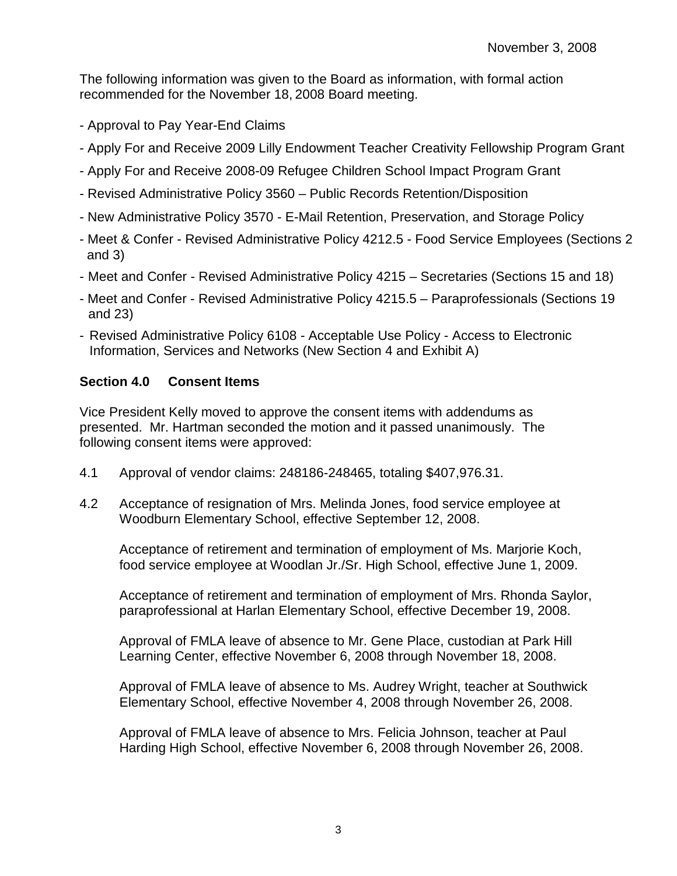The following information was given to the Board as information, with formal action recommended for the November 18, 2008 Board meeting.

- Approval to Pay Year-End Claims
- Apply For and Receive 2009 Lilly Endowment Teacher Creativity Fellowship Program Grant
- Apply For and Receive 2008-09 Refugee Children School Impact Program Grant
- Revised Administrative Policy 3560 Public Records Retention/Disposition
- New Administrative Policy 3570 E-Mail Retention, Preservation, and Storage Policy
- Meet & Confer Revised Administrative Policy 4212.5 Food Service Employees (Sections 2 and 3)
- Meet and Confer Revised Administrative Policy 4215 Secretaries (Sections 15 and 18)
- Meet and Confer Revised Administrative Policy 4215.5 Paraprofessionals (Sections 19 and 23)
- Revised Administrative Policy 6108 Acceptable Use Policy Access to Electronic Information, Services and Networks (New Section 4 and Exhibit A)

# **Section 4.0 Consent Items**

Vice President Kelly moved to approve the consent items with addendums as presented. Mr. Hartman seconded the motion and it passed unanimously. The following consent items were approved:

- 4.1 Approval of vendor claims: 248186-248465, totaling \$407,976.31.
- 4.2 Acceptance of resignation of Mrs. Melinda Jones, food service employee at Woodburn Elementary School, effective September 12, 2008.

 Acceptance of retirement and termination of employment of Ms. Marjorie Koch, food service employee at Woodlan Jr./Sr. High School, effective June 1, 2009.

Acceptance of retirement and termination of employment of Mrs. Rhonda Saylor, paraprofessional at Harlan Elementary School, effective December 19, 2008.

 Approval of FMLA leave of absence to Mr. Gene Place, custodian at Park Hill Learning Center, effective November 6, 2008 through November 18, 2008.

Approval of FMLA leave of absence to Ms. Audrey Wright, teacher at Southwick Elementary School, effective November 4, 2008 through November 26, 2008.

Approval of FMLA leave of absence to Mrs. Felicia Johnson, teacher at Paul Harding High School, effective November 6, 2008 through November 26, 2008.